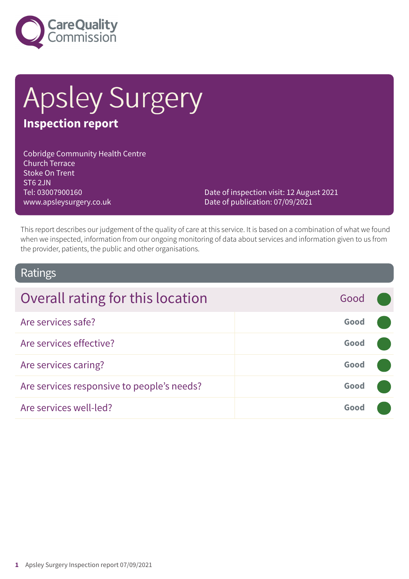

# Apsley Surgery

# **Inspection report**

Cobridge Community Health Centre Church Terrace Stoke On Trent ST6 2JN Tel: 03007900160 www.apsleysurgery.co.uk

Date of inspection visit: 12 August 2021 Date of publication: 07/09/2021

This report describes our judgement of the quality of care at this service. It is based on a combination of what we found when we inspected, information from our ongoing monitoring of data about services and information given to us from the provider, patients, the public and other organisations.

### Ratings

| Overall rating for this location           | Good |  |
|--------------------------------------------|------|--|
| Are services safe?                         | Good |  |
| Are services effective?                    | Good |  |
| Are services caring?                       | Good |  |
| Are services responsive to people's needs? | Good |  |
| Are services well-led?                     | Good |  |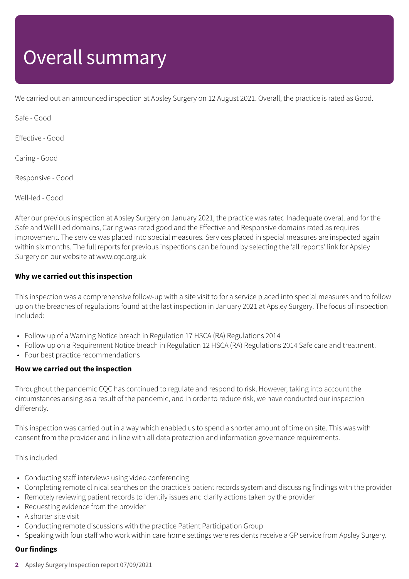# Overall summary

We carried out an announced inspection at Apsley Surgery on 12 August 2021. Overall, the practice is rated as Good.

Safe - Good

Effective - Good

Caring - Good

Responsive - Good

Well-led - Good

After our previous inspection at Apsley Surgery on January 2021, the practice was rated Inadequate overall and for the Safe and Well Led domains, Caring was rated good and the Effective and Responsive domains rated as requires improvement. The service was placed into special measures. Services placed in special measures are inspected again within six months. The full reports for previous inspections can be found by selecting the 'all reports' link for Apsley Surgery on our website at www.cqc.org.uk

### **Why we carried out this inspection**

This inspection was a comprehensive follow-up with a site visit to for a service placed into special measures and to follow up on the breaches of regulations found at the last inspection in January 2021 at Apsley Surgery. The focus of inspection included:

- Follow up of a Warning Notice breach in Regulation 17 HSCA (RA) Regulations 2014
- Follow up on a Requirement Notice breach in Regulation 12 HSCA (RA) Regulations 2014 Safe care and treatment.
- Four best practice recommendations

#### **How we carried out the inspection**

Throughout the pandemic CQC has continued to regulate and respond to risk. However, taking into account the circumstances arising as a result of the pandemic, and in order to reduce risk, we have conducted our inspection differently.

This inspection was carried out in a way which enabled us to spend a shorter amount of time on site. This was with consent from the provider and in line with all data protection and information governance requirements.

This included:

- Conducting staff interviews using video conferencing
- Completing remote clinical searches on the practice's patient records system and discussing findings with the provider
- Remotely reviewing patient records to identify issues and clarify actions taken by the provider
- Requesting evidence from the provider
- A shorter site visit
- Conducting remote discussions with the practice Patient Participation Group
- Speaking with four staff who work within care home settings were residents receive a GP service from Apsley Surgery.

### **Our findings**

**2** Apsley Surgery Inspection report 07/09/2021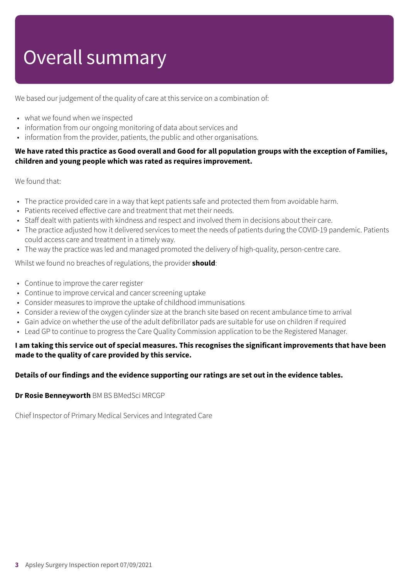# Overall summary

We based our judgement of the quality of care at this service on a combination of:

- what we found when we inspected
- information from our ongoing monitoring of data about services and
- information from the provider, patients, the public and other organisations.

### We have rated this practice as Good overall and Good for all population groups with the exception of Families, **children and young people which was rated as requires improvement.**

We found that:

- The practice provided care in a way that kept patients safe and protected them from avoidable harm.
- Patients received effective care and treatment that met their needs.
- Staff dealt with patients with kindness and respect and involved them in decisions about their care.
- The practice adjusted how it delivered services to meet the needs of patients during the COVID-19 pandemic. Patients could access care and treatment in a timely way.
- The way the practice was led and managed promoted the delivery of high-quality, person-centre care.

Whilst we found no breaches of regulations, the provider **should**:

- Continue to improve the carer register
- Continue to improve cervical and cancer screening uptake
- Consider measures to improve the uptake of childhood immunisations
- Consider a review of the oxygen cylinder size at the branch site based on recent ambulance time to arrival
- Gain advice on whether the use of the adult defibrillator pads are suitable for use on children if required
- Lead GP to continue to progress the Care Quality Commission application to be the Registered Manager.

### I am taking this service out of special measures. This recognises the significant improvements that have been **made to the quality of care provided by this service.**

#### **Details of our findings and the evidence supporting our ratings are set out in the evidence tables.**

**Dr Rosie Benneyworth** BM BS BMedSci MRCGP

Chief Inspector of Primary Medical Services and Integrated Care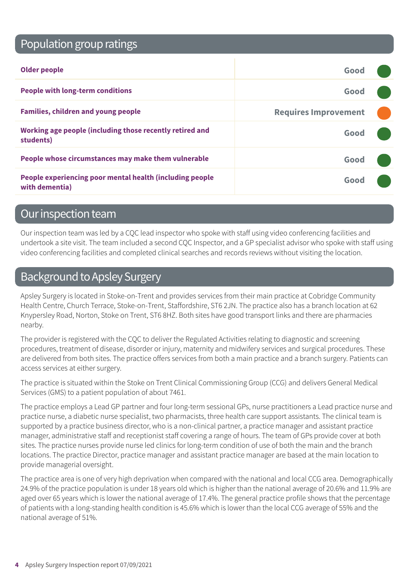# Population group ratings

| <b>Older people</b>                                                        | Good                        |  |
|----------------------------------------------------------------------------|-----------------------------|--|
| <b>People with long-term conditions</b>                                    | Good                        |  |
| <b>Families, children and young people</b>                                 | <b>Requires Improvement</b> |  |
| Working age people (including those recently retired and<br>students)      | Good                        |  |
| People whose circumstances may make them vulnerable                        | Good                        |  |
| People experiencing poor mental health (including people<br>with dementia) | Good                        |  |

### Our inspection team

Our inspection team was led by a CQC lead inspector who spoke with staff using video conferencing facilities and undertook a site visit. The team included a second CQC Inspector, and a GP specialist advisor who spoke with staff using video conferencing facilities and completed clinical searches and records reviews without visiting the location.

# Background to Apsley Surgery

Apsley Surgery is located in Stoke-on-Trent and provides services from their main practice at Cobridge Community Health Centre, Church Terrace, Stoke-on-Trent, Staffordshire, ST6 2JN. The practice also has a branch location at 62 Knypersley Road, Norton, Stoke on Trent, ST6 8HZ. Both sites have good transport links and there are pharmacies nearby.

The provider is registered with the CQC to deliver the Regulated Activities relating to diagnostic and screening procedures, treatment of disease, disorder or injury, maternity and midwifery services and surgical procedures. These are delivered from both sites. The practice offers services from both a main practice and a branch surgery. Patients can access services at either surgery.

The practice is situated within the Stoke on Trent Clinical Commissioning Group (CCG) and delivers General Medical Services (GMS) to a patient population of about 7461.

The practice employs a Lead GP partner and four long-term sessional GPs, nurse practitioners a Lead practice nurse and practice nurse, a diabetic nurse specialist, two pharmacists, three health care support assistants. The clinical team is supported by a practice business director, who is a non-clinical partner, a practice manager and assistant practice manager, administrative staff and receptionist staff covering a range of hours. The team of GPs provide cover at both sites. The practice nurses provide nurse led clinics for long-term condition of use of both the main and the branch locations. The practice Director, practice manager and assistant practice manager are based at the main location to provide managerial oversight.

The practice area is one of very high deprivation when compared with the national and local CCG area. Demographically 24.9% of the practice population is under 18 years old which is higher than the national average of 20.6% and 11.9% are aged over 65 years which is lower the national average of 17.4%. The general practice profile shows that the percentage of patients with a long-standing health condition is 45.6% which is lower than the local CCG average of 55% and the national average of 51%.